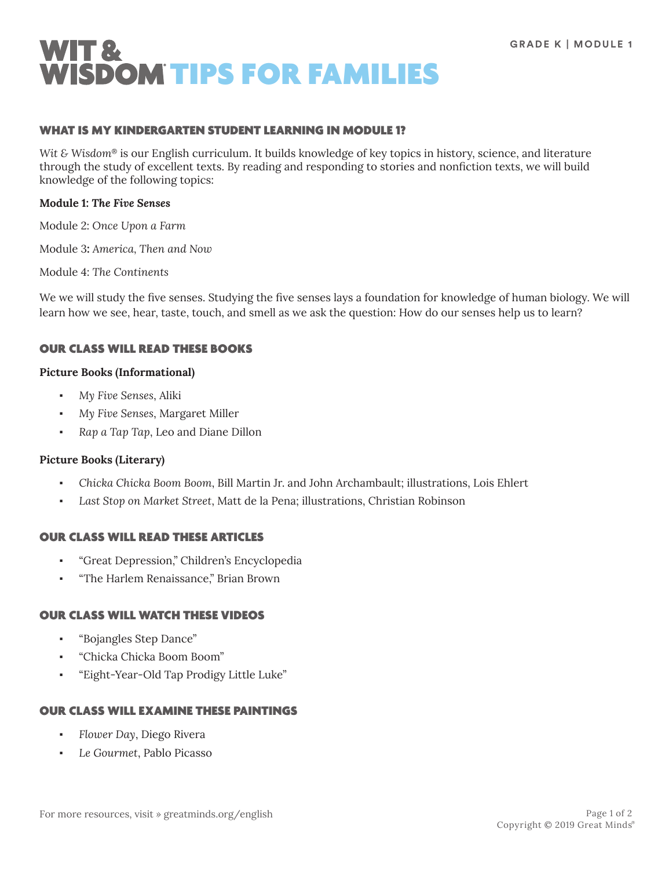

#### WHAT IS MY KINDERGARTEN STUDENT LEARNING IN MODULE 1?

*Wit & Wisdom*® is our English curriculum. It builds knowledge of key topics in history, science, and literature through the study of excellent texts. By reading and responding to stories and nonfiction texts, we will build knowledge of the following topics:

#### **Module 1:** *The Five Senses*

Module 2: *Once Upon a Farm*

Module 3**:** *America, Then and Now*

Module 4: *The Continents*

We we will study the five senses. Studying the five senses lays a foundation for knowledge of human biology. We will learn how we see, hear, taste, touch, and smell as we ask the question: How do our senses help us to learn?

#### OUR CLASS WILL READ THESE BOOKS

#### **Picture Books (Informational)**

- *My Five Senses*, Aliki
- *My Five Senses*, Margaret Miller
- *Rap a Tap Tap*, Leo and Diane Dillon

#### **Picture Books (Literary)**

- *Chicka Chicka Boom Boom*, Bill Martin Jr. and John Archambault; illustrations, Lois Ehlert
- Last Stop on Market Street, Matt de la Pena; illustrations, Christian Robinson

### OUR CLASS WILL READ THESE ARTICLES

- "Great Depression," Children's Encyclopedia
- "The Harlem Renaissance," Brian Brown

#### OUR CLASS WILL WATCH THESE VIDEOS

- "Bojangles Step Dance"
- "Chicka Chicka Boom Boom"
- "Eight-Year-Old Tap Prodigy Little Luke"

#### OUR CLASS WILL EXAMINE THESE PAINTINGS

- *Flower Day*, Diego Rivera
- Le Gourmet, Pablo Picasso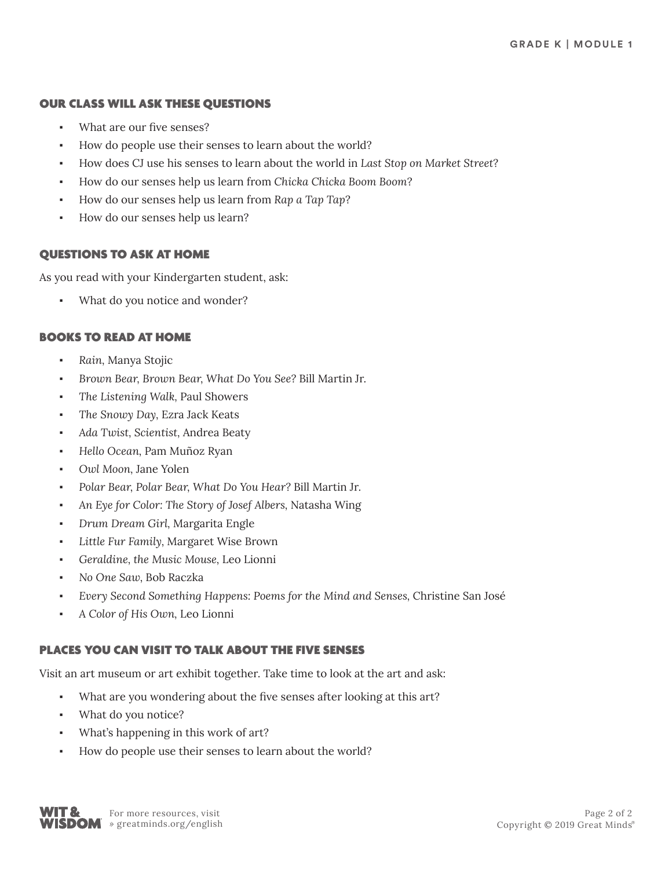### OUR CLASS WILL ASK THESE QUESTIONS

- What are our five senses?
- How do people use their senses to learn about the world?
- How does CJ use his senses to learn about the world in *Last Stop on Market Street*?
- How do our senses help us learn from *Chicka Chicka Boom Boom*?
- How do our senses help us learn from *Rap a Tap Tap*?
- How do our senses help us learn?

## QUESTIONS TO ASK AT HOME

As you read with your Kindergarten student, ask:

What do you notice and wonder?

## BOOKS TO READ AT HOME

- *Rain,* Manya Stojic
- *Brown Bear, Brown Bear, What Do You See?* Bill Martin Jr.
- *The Listening Walk,* Paul Showers
- The Snowy Day, Ezra Jack Keats
- *Ada Twist, Scientist,* Andrea Beaty
- *Hello Ocean,* Pam Muñoz Ryan
- Owl Moon, Jane Yolen
- *Polar Bear, Polar Bear, What Do You Hear?* Bill Martin Jr*.*
- *An Eye for Color: The Story of Josef Albers,* Natasha Wing
- *Drum Dream Girl,* Margarita Engle
- Little Fur Family, Margaret Wise Brown
- *Geraldine, the Music Mouse,* Leo Lionni
- *No One Saw,* Bob Raczka
- *Every Second Something Happens: Poems for the Mind and Senses,* Christine San José
- *A Color of His Own,* Leo Lionni

## PLACES YOU CAN VISIT TO TALK ABOUT THE FIVE SENSES

Visit an art museum or art exhibit together. Take time to look at the art and ask:

- What are you wondering about the five senses after looking at this art?
- What do you notice?
- What's happening in this work of art?
- How do people use their senses to learn about the world?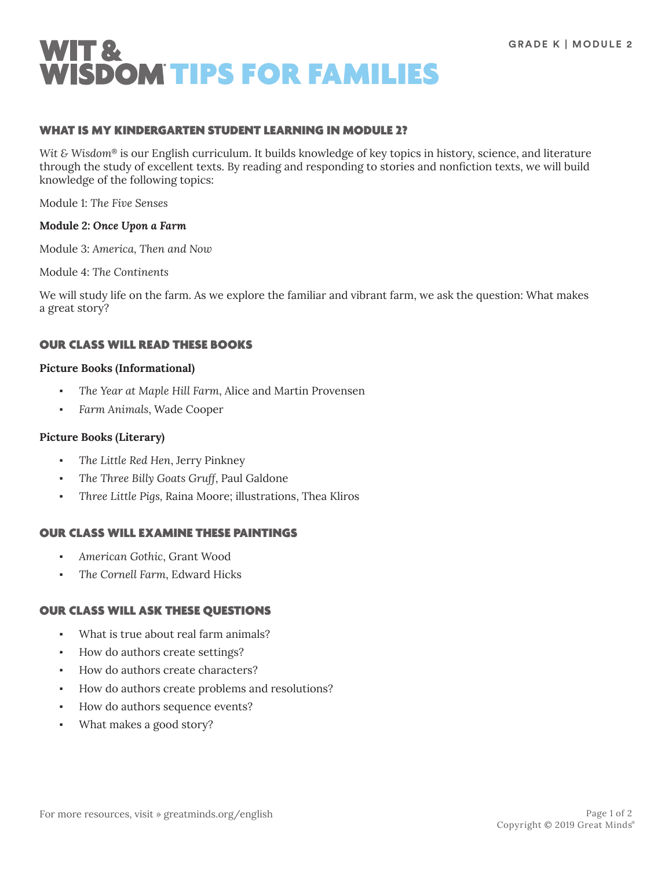

#### WHAT IS MY KINDERGARTEN STUDENT LEARNING IN MODULE 2?

*Wit & Wisdom*® is our English curriculum. It builds knowledge of key topics in history, science, and literature through the study of excellent texts. By reading and responding to stories and nonfiction texts, we will build knowledge of the following topics:

Module 1: *The Five Senses*

#### **Module 2:** *Once Upon a Farm*

Module 3: *America, Then and Now*

Module 4: *The Continents*

We will study life on the farm. As we explore the familiar and vibrant farm, we ask the question: What makes a great story?

#### OUR CLASS WILL READ THESE BOOKS

#### **Picture Books (Informational)**

- The Year at Maple Hill Farm, Alice and Martin Provensen
- *Farm Animals*, Wade Cooper

#### **Picture Books (Literary)**

- The Little Red Hen, Jerry Pinkney
- The Three Billy Goats Gruff, Paul Galdone
- *Three Little Pigs,* Raina Moore; illustrations, Thea Kliros

### OUR CLASS WILL EXAMINE THESE PAINTINGS

- *American Gothic*, Grant Wood
- *The Cornell Farm*, Edward Hicks

#### OUR CLASS WILL ASK THESE QUESTIONS

- What is true about real farm animals?
- How do authors create settings?
- How do authors create characters?
- How do authors create problems and resolutions?
- How do authors sequence events?
- What makes a good story?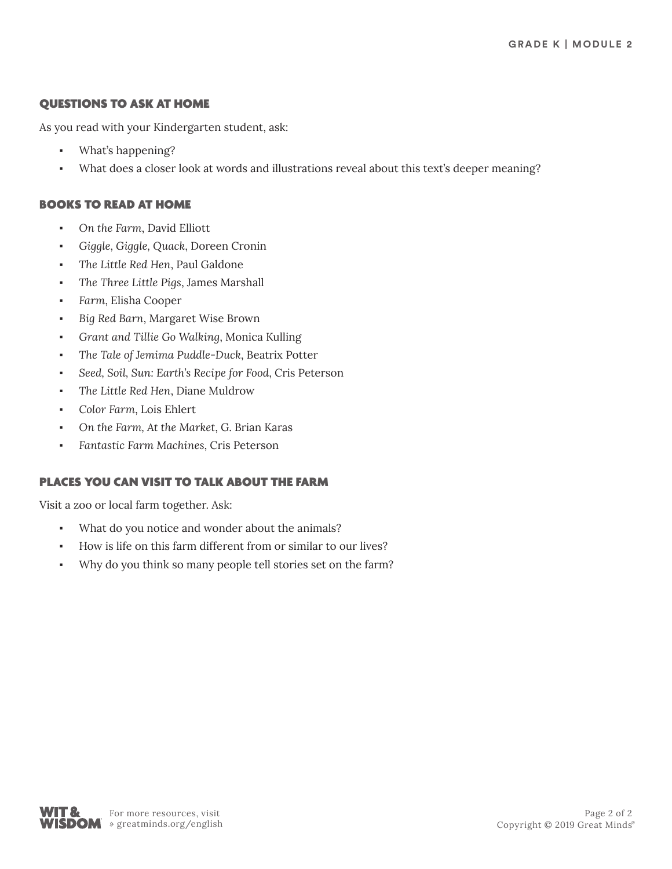## QUESTIONS TO ASK AT HOME

As you read with your Kindergarten student, ask:

- What's happening?
- What does a closer look at words and illustrations reveal about this text's deeper meaning?

## BOOKS TO READ AT HOME

- *On the Farm*, David Elliott
- *Giggle, Giggle, Quack*, Doreen Cronin
- The Little Red Hen, Paul Galdone
- *The Three Little Pigs*, James Marshall
- *Farm*, Elisha Cooper
- Big Red Barn, Margaret Wise Brown
- *Grant and Tillie Go Walking*, Monica Kulling
- The Tale of Jemima Puddle-Duck, Beatrix Potter
- Seed, Soil, Sun: Earth's Recipe for Food, Cris Peterson
- The Little Red Hen, Diane Muldrow
- *Color Farm*, Lois Ehlert
- *On the Farm, At the Market*, G. Brian Karas
- *Fantastic Farm Machines*, Cris Peterson

# PLACES YOU CAN VISIT TO TALK ABOUT THE FARM

Visit a zoo or local farm together. Ask:

- What do you notice and wonder about the animals?
- How is life on this farm different from or similar to our lives?
- Why do you think so many people tell stories set on the farm?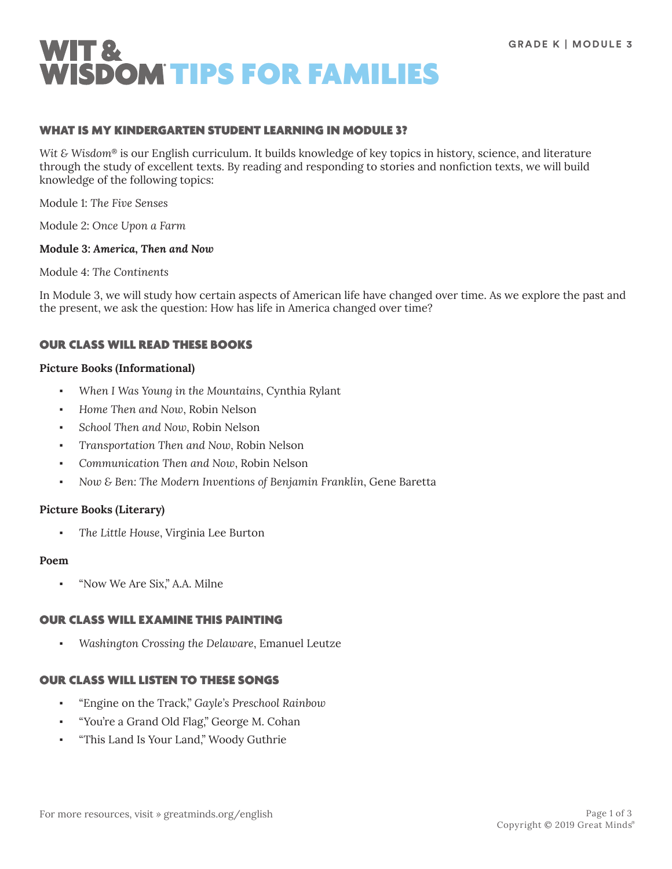

#### WHAT IS MY KINDERGARTEN STUDENT LEARNING IN MODULE 3?

*Wit & Wisdom*® is our English curriculum. It builds knowledge of key topics in history, science, and literature through the study of excellent texts. By reading and responding to stories and nonfiction texts, we will build knowledge of the following topics:

Module 1: *The Five Senses*

Module 2: *Once Upon a Farm*

#### **Module 3:** *America, Then and Now*

Module 4: *The Continents*

In Module 3, we will study how certain aspects of American life have changed over time. As we explore the past and the present, we ask the question: How has life in America changed over time?

### OUR CLASS WILL READ THESE BOOKS

#### **Picture Books (Informational)**

- *When I Was Young in the Mountains*, Cynthia Rylant
- Home Then and Now, Robin Nelson
- School Then and Now, Robin Nelson
- *Transportation Then and Now*, Robin Nelson
- *Communication Then and Now*, Robin Nelson
- *Now & Ben: The Modern Inventions of Benjamin Franklin*, Gene Baretta

#### **Picture Books (Literary)**

The Little House, Virginia Lee Burton

#### **Poem**

"Now We Are Six," A.A. Milne

### OUR CLASS WILL EXAMINE THIS PAINTING

Washington Crossing the Delaware, Emanuel Leutze

### OUR CLASS WILL LISTEN TO THESE SONGS

- "Engine on the Track," *Gayle's Preschool Rainbow*
- "You're a Grand Old Flag," George M. Cohan
- "This Land Is Your Land," Woody Guthrie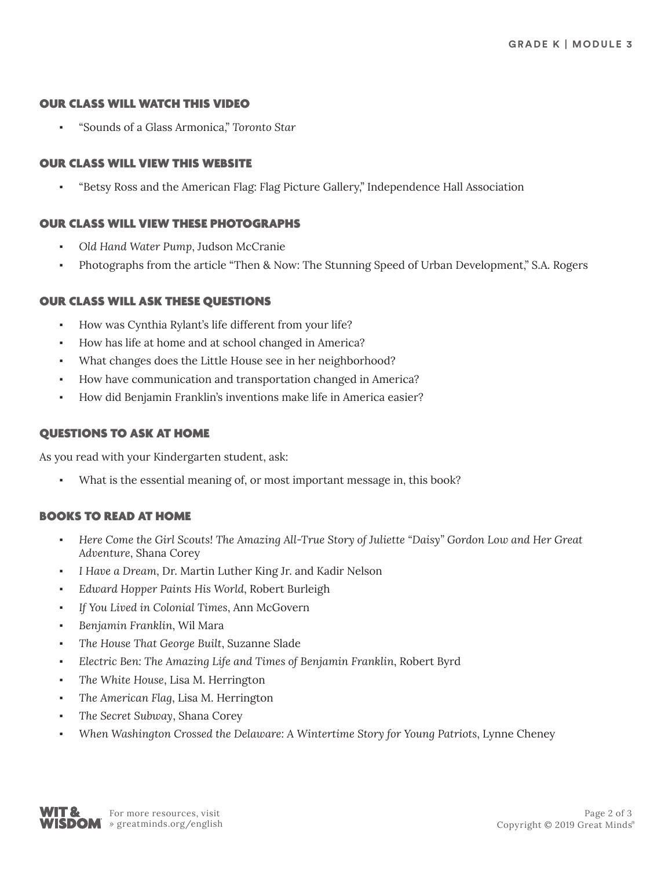#### OUR CLASS WILL WATCH THIS VIDEO

▪ "Sounds of a Glass Armonica," *Toronto Star*

#### OUR CLASS WILL VIEW THIS WEBSITE

▪ "Betsy Ross and the American Flag: Flag Picture Gallery," Independence Hall Association

### OUR CLASS WILL VIEW THESE PHOTOGRAPHS

- *Old Hand Water Pump*, Judson McCranie
- Photographs from the article "Then & Now: The Stunning Speed of Urban Development," S.A. Rogers

#### OUR CLASS WILL ASK THESE QUESTIONS

- How was Cynthia Rylant's life different from your life?
- How has life at home and at school changed in America?
- What changes does the Little House see in her neighborhood?
- How have communication and transportation changed in America?
- How did Benjamin Franklin's inventions make life in America easier?

### QUESTIONS TO ASK AT HOME

As you read with your Kindergarten student, ask:

What is the essential meaning of, or most important message in, this book?

### BOOKS TO READ AT HOME

- *Here Come the Girl Scouts! The Amazing All-True Story of Juliette "Daisy" Gordon Low and Her Great Adventure*, Shana Corey
- *I Have a Dream*, Dr. Martin Luther King Jr. and Kadir Nelson
- *Edward Hopper Paints His World*, Robert Burleigh
- If You Lived in Colonial Times, Ann McGovern
- *Benjamin Franklin*, Wil Mara
- *The House That George Built*, Suzanne Slade
- *Electric Ben: The Amazing Life and Times of Benjamin Franklin*, Robert Byrd
- The White House, Lisa M. Herrington
- The American Flag, Lisa M. Herrington
- The Secret Subway, Shana Corey
- When Washington Crossed the Delaware: A Wintertime Story for Young Patriots, Lynne Cheney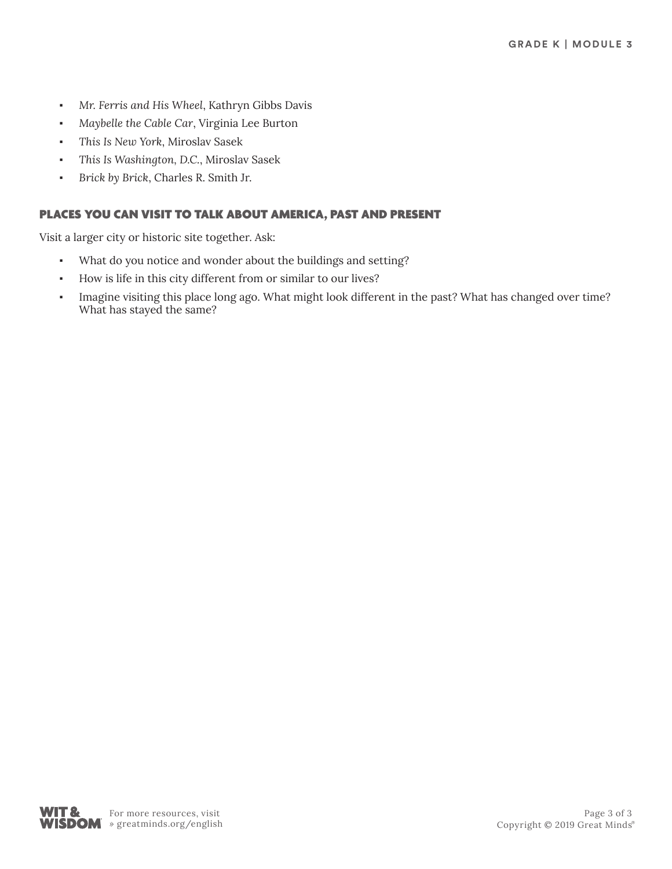- *Mr. Ferris and His Wheel*, Kathryn Gibbs Davis
- Maybelle the Cable Car, Virginia Lee Burton
- *This Is New York*, Miroslav Sasek
- *This Is Washington, D.C.*, Miroslav Sasek
- *Brick by Brick*, Charles R. Smith Jr.

## PLACES YOU CAN VISIT TO TALK ABOUT AMERICA, PAST AND PRESENT

Visit a larger city or historic site together. Ask:

- What do you notice and wonder about the buildings and setting?
- How is life in this city different from or similar to our lives?
- Imagine visiting this place long ago. What might look different in the past? What has changed over time? What has stayed the same?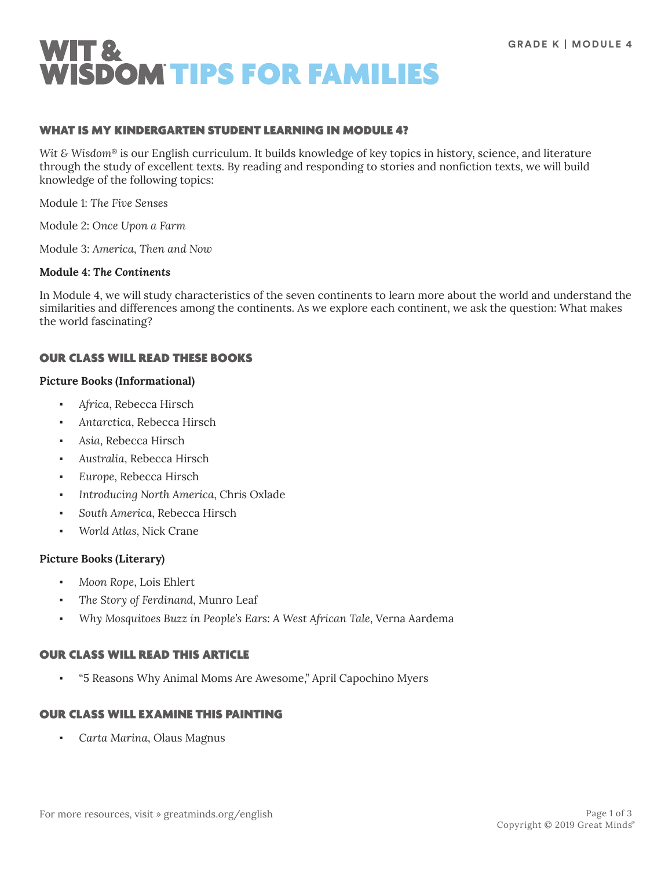

### WHAT IS MY KINDERGARTEN STUDENT LEARNING IN MODULE 4?

*Wit & Wisdom*® is our English curriculum. It builds knowledge of key topics in history, science, and literature through the study of excellent texts. By reading and responding to stories and nonfiction texts, we will build knowledge of the following topics:

Module 1: *The Five Senses*

Module 2: *Once Upon a Farm*

Module 3: *America, Then and Now*

## **Module 4:** *The Continents*

In Module 4, we will study characteristics of the seven continents to learn more about the world and understand the similarities and differences among the continents. As we explore each continent, we ask the question: What makes the world fascinating?

### OUR CLASS WILL READ THESE BOOKS

#### **Picture Books (Informational)**

- *Africa*, Rebecca Hirsch
- *Antarctica*, Rebecca Hirsch
- Asia, Rebecca Hirsch
- *Australia*, Rebecca Hirsch
- *Europe*, Rebecca Hirsch
- Introducing North America, Chris Oxlade
- South America, Rebecca Hirsch
- *World Atlas*, Nick Crane

### **Picture Books (Literary)**

- *Moon Rope*, Lois Ehlert
- The Story of Ferdinand, Munro Leaf
- *Why Mosquitoes Buzz in People's Ears: A West African Tale*, Verna Aardema

### OUR CLASS WILL READ THIS ARTICLE

▪ "5 Reasons Why Animal Moms Are Awesome," April Capochino Myers

### OUR CLASS WILL EXAMINE THIS PAINTING

▪ *Carta Marina*, Olaus Magnus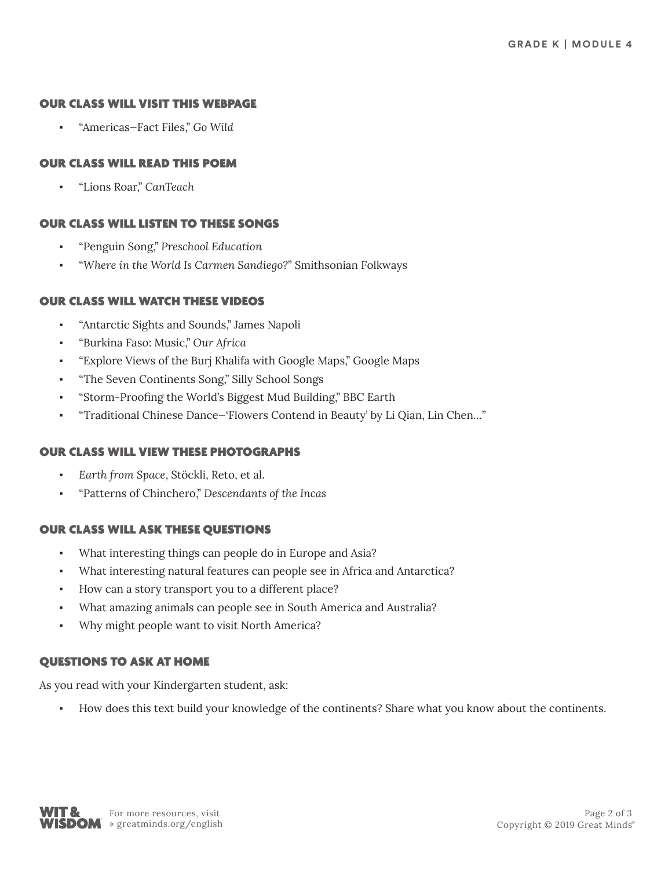### OUR CLASS WILL VISIT THIS WEBPAGE

▪ "Americas—Fact Files," *Go Wild*

## OUR CLASS WILL READ THIS POEM

▪ "Lions Roar," *CanTeach*

## OUR CLASS WILL LISTEN TO THESE SONGS

- "Penguin Song," *Preschool Education*
- "*Where in the World Is Carmen Sandiego?*" Smithsonian Folkways

### OUR CLASS WILL WATCH THESE VIDEOS

- "Antarctic Sights and Sounds," James Napoli
- "Burkina Faso: Music," *Our Africa*
- "Explore Views of the Burj Khalifa with Google Maps," Google Maps
- "The Seven Continents Song," Silly School Songs
- "Storm-Proofing the World's Biggest Mud Building," BBC Earth
- "Traditional Chinese Dance—'Flowers Contend in Beauty' by Li Qian, Lin Chen…"

### OUR CLASS WILL VIEW THESE PHOTOGRAPHS

- Earth from Space, Stöckli, Reto, et al.
- "Patterns of Chinchero," *Descendants of the Incas*

### OUR CLASS WILL ASK THESE QUESTIONS

- What interesting things can people do in Europe and Asia?
- What interesting natural features can people see in Africa and Antarctica?
- How can a story transport you to a different place?
- What amazing animals can people see in South America and Australia?
- Why might people want to visit North America?

## QUESTIONS TO ASK AT HOME

As you read with your Kindergarten student, ask:

How does this text build your knowledge of the continents? Share what you know about the continents.